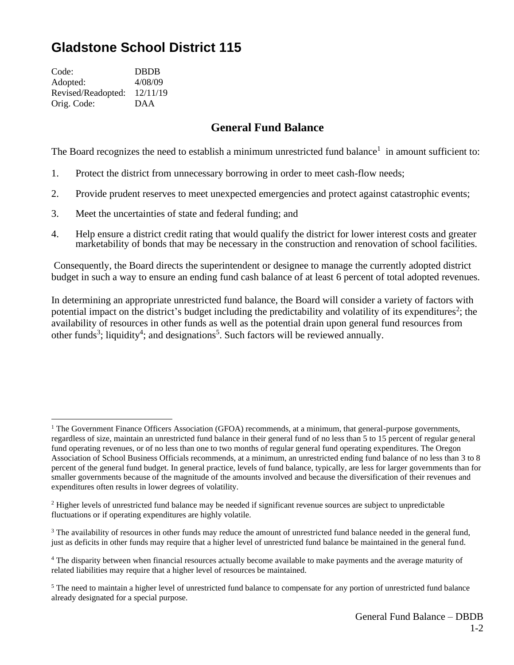## **Gladstone School District 115**

| <b>DBDB</b> |
|-------------|
| 4/08/09     |
| 12/11/19    |
| <b>DAA</b>  |
|             |

## **General Fund Balance**

The Board recognizes the need to establish a minimum unrestricted fund balance<sup>1</sup> in amount sufficient to:

- 1. Protect the district from unnecessary borrowing in order to meet cash-flow needs;
- 2. Provide prudent reserves to meet unexpected emergencies and protect against catastrophic events;
- 3. Meet the uncertainties of state and federal funding; and
- 4. Help ensure a district credit rating that would qualify the district for lower interest costs and greater marketability of bonds that may be necessary in the construction and renovation of school facilities.

Consequently, the Board directs the superintendent or designee to manage the currently adopted district budget in such a way to ensure an ending fund cash balance of at least 6 percent of total adopted revenues.

In determining an appropriate unrestricted fund balance, the Board will consider a variety of factors with potential impact on the district's budget including the predictability and volatility of its expenditures<sup>2</sup>; the availability of resources in other funds as well as the potential drain upon general fund resources from other funds<sup>3</sup>; liquidity<sup>4</sup>; and designations<sup>5</sup>. Such factors will be reviewed annually.

<sup>&</sup>lt;sup>1</sup> The Government Finance Officers Association (GFOA) recommends, at a minimum, that general-purpose governments, regardless of size, maintain an unrestricted fund balance in their general fund of no less than 5 to 15 percent of regular general fund operating revenues, or of no less than one to two months of regular general fund operating expenditures. The Oregon Association of School Business Officials recommends, at a minimum, an unrestricted ending fund balance of no less than 3 to 8 percent of the general fund budget. In general practice, levels of fund balance, typically, are less for larger governments than for smaller governments because of the magnitude of the amounts involved and because the diversification of their revenues and expenditures often results in lower degrees of volatility.

<sup>&</sup>lt;sup>2</sup> Higher levels of unrestricted fund balance may be needed if significant revenue sources are subject to unpredictable fluctuations or if operating expenditures are highly volatile.

<sup>&</sup>lt;sup>3</sup> The availability of resources in other funds may reduce the amount of unrestricted fund balance needed in the general fund, just as deficits in other funds may require that a higher level of unrestricted fund balance be maintained in the general fund.

<sup>4</sup> The disparity between when financial resources actually become available to make payments and the average maturity of related liabilities may require that a higher level of resources be maintained.

<sup>&</sup>lt;sup>5</sup> The need to maintain a higher level of unrestricted fund balance to compensate for any portion of unrestricted fund balance already designated for a special purpose.